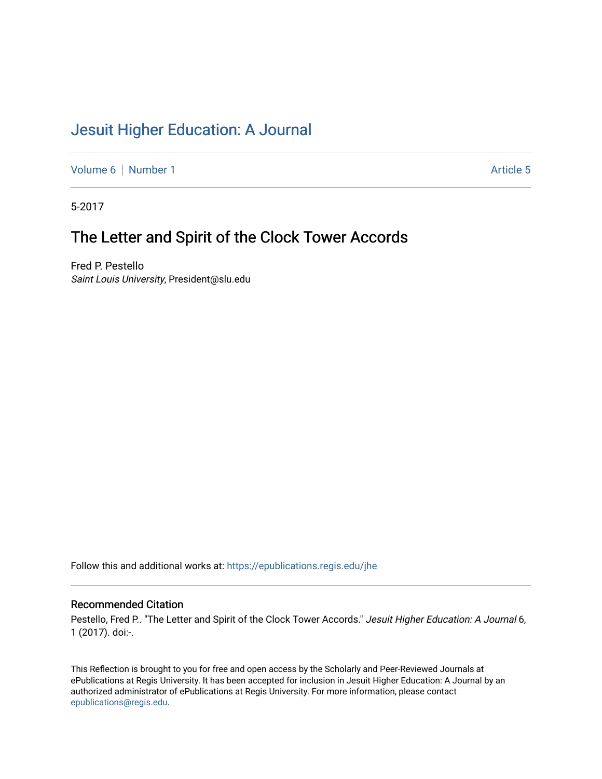# [Jesuit Higher Education: A Journal](https://epublications.regis.edu/jhe)

[Volume 6](https://epublications.regis.edu/jhe/vol6) | [Number 1](https://epublications.regis.edu/jhe/vol6/iss1) Article 5

5-2017

## The Letter and Spirit of the Clock Tower Accords

Fred P. Pestello Saint Louis University, President@slu.edu

Follow this and additional works at: [https://epublications.regis.edu/jhe](https://epublications.regis.edu/jhe?utm_source=epublications.regis.edu%2Fjhe%2Fvol6%2Fiss1%2F5&utm_medium=PDF&utm_campaign=PDFCoverPages) 

#### Recommended Citation

Pestello, Fred P.. "The Letter and Spirit of the Clock Tower Accords." Jesuit Higher Education: A Journal 6, 1 (2017). doi:-.

This Reflection is brought to you for free and open access by the Scholarly and Peer-Reviewed Journals at ePublications at Regis University. It has been accepted for inclusion in Jesuit Higher Education: A Journal by an authorized administrator of ePublications at Regis University. For more information, please contact [epublications@regis.edu.](mailto:epublications@regis.edu)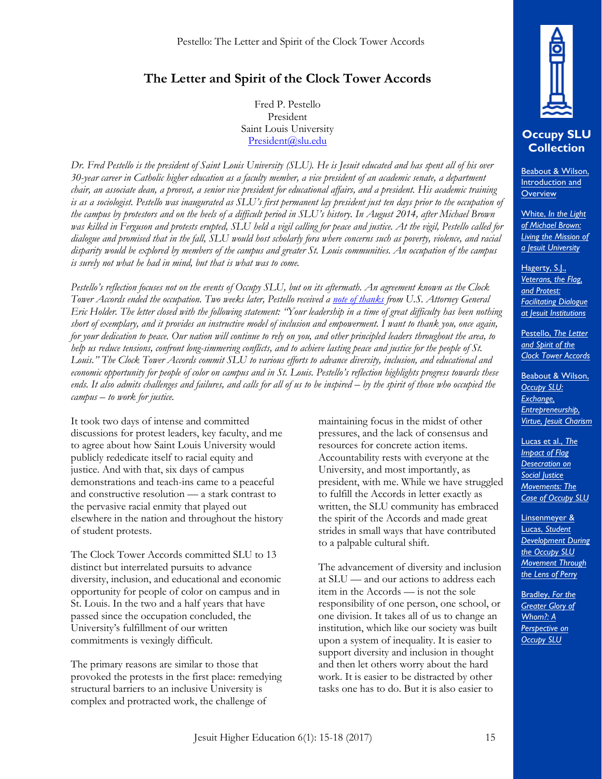## **The Letter and Spirit of the Clock Tower Accords**

Fred P. Pestello President Saint Louis University President@slu.edu

*Dr. Fred Pestello is the president of Saint Louis University (SLU). He is Jesuit educated and has spent all of his over 30-year career in Catholic higher education as a faculty member, a vice president of an academic senate, a department chair, an associate dean, a provost, a senior vice president for educational affairs, and a president. His academic training is as a sociologist. Pestello was inaugurated as SLU's first permanent lay president just ten days prior to the occupation of the campus by protestors and on the heels of a difficult period in SLU's history. In August 2014, after Michael Brown was killed in Ferguson and protests erupted, SLU held a vigil calling for peace and justice. At the vigil, Pestello called for dialogue and promised that in the fall, SLU would host scholarly fora where concerns such as poverty, violence, and racial disparity would be explored by members of the campus and greater St. Louis communities. An occupation of the campus is surely not what he had in mind, but that is what was to come.*

*Pestello's reflection focuses not on the events of Occupy SLU, but on its aftermath. An agreement known as the Clock Tower Accords ended the occupation. Two weeks later, Pestello received a [note of thanks](http://media.bizj.us/view/img/4285021/holder-letter-to-pestello-10-2014.pdf) from U.S. Attorney General Eric Holder. The letter closed with the following statement: "Your leadership in a time of great difficulty has been nothing short of exemplary, and it provides an instructive model of inclusion and empowerment. I want to thank you, once again, for your dedication to peace. Our nation will continue to rely on you, and other principled leaders throughout the area, to help us reduce tensions, confront long-simmering conflicts, and to achieve lasting peace and justice for the people of St. Louis." The Clock Tower Accords commit SLU to various efforts to advance diversity, inclusion, and educational and economic opportunity for people of color on campus and in St. Louis. Pestello's reflection highlights progress towards these*  ends. It also admits challenges and failures, and calls for all of us to be inspired – by the spirit of those who occupied the *campus – to work for justice.* 

It took two days of intense and committed discussions for protest leaders, key faculty, and me to agree about how Saint Louis University would publicly rededicate itself to racial equity and justice. And with that, six days of campus demonstrations and teach-ins came to a peaceful and constructive resolution — a stark contrast to the pervasive racial enmity that played out elsewhere in the nation and throughout the history of student protests.

The Clock Tower Accords committed SLU to 13 distinct but interrelated pursuits to advance diversity, inclusion, and educational and economic opportunity for people of color on campus and in St. Louis. In the two and a half years that have passed since the occupation concluded, the University's fulfillment of our written commitments is vexingly difficult.

The primary reasons are similar to those that provoked the protests in the first place: remedying structural barriers to an inclusive University is complex and protracted work, the challenge of

maintaining focus in the midst of other pressures, and the lack of consensus and resources for concrete action items. Accountability rests with everyone at the University, and most importantly, as president, with me. While we have struggled to fulfill the Accords in letter exactly as written, the SLU community has embraced the spirit of the Accords and made great strides in small ways that have contributed to a palpable cultural shift.

The advancement of diversity and inclusion at SLU — and our actions to address each item in the Accords — is not the sole responsibility of one person, one school, or one division. It takes all of us to change an institution, which like our society was built upon a system of inequality. It is easier to support diversity and inclusion in thought and then let others worry about the hard work. It is easier to be distracted by other tasks one has to do. But it is also easier to



## **Occupy SLU Collection**

[Beabout & Wilson,](http://epublications.regis.edu/jhe/vol6/iss1/4/) Introduction and **Overview** 

White, *In the Light of Michael Brown: [Living the Mission of](http://epublications.regis.edu/jhe/vol6/iss1/2/)  a Jesuit University* 

Hagerty, S.J., *Veterans, the Flag, and Protest: [Facilitating Dialogue](http://epublications.regis.edu/jhe/vol6/iss1/1/)  at Jesuit Institutions*

Pestello, *The Letter and Spirit of the [Clock Tower Accords](http://epublications.regis.edu/jhe/vol6/iss1/5/)* 

Beabout & Wilson, *Occupy SLU: Exchange, Entrepreneurship, [Virtue, Jesuit Charism](http://epublications.regis.edu/jhe/vol6/iss1/6/)*

Lucas et al., *The Impact of Flag Desecration on Social Justice Movements: The [Case of Occupy SLU](http://epublications.regis.edu/jhe/vol6/iss1/7/)* 

Linsenmeyer & Lucas, *Student [Development During](http://epublications.regis.edu/jhe/vol6/iss1/9/) the Occupy SLU Movement Through the Lens of Perry* 

Bradley, *For the [Greater Glory of](http://epublications.regis.edu/jhe/vol6/iss1/8/)  Whom?: A Perspective on Occupy SLU*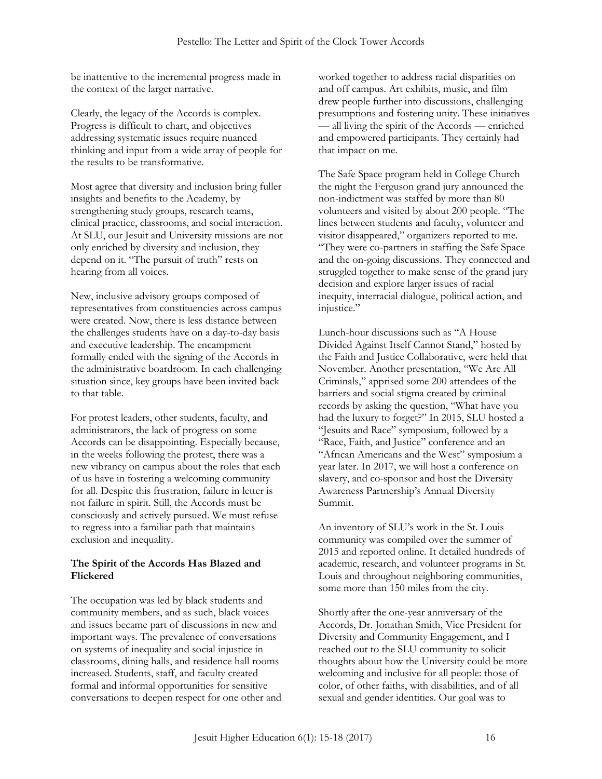be inattentive to the incremental progress made in the context of the larger narrative.

Clearly, the legacy of the Accords is complex. Progress is difficult to chart, and objectives addressing systematic issues require nuanced thinking and input from a wide array of people for the results to be transformative.

Most agree that diversity and inclusion bring fuller insights and benefits to the Academy, by strengthening study groups, research teams, clinical practice, classrooms, and social interaction. At SLU, our Jesuit and University missions are not only enriched by diversity and inclusion, they depend on it. "The pursuit of truth" rests on hearing from all voices.

New, inclusive advisory groups composed of representatives from constituencies across campus were created. Now, there is less distance between the challenges students have on a day-to-day basis and executive leadership. The encampment formally ended with the signing of the Accords in the administrative boardroom. In each challenging situation since, key groups have been invited back to that table.

For protest leaders, other students, faculty, and administrators, the lack of progress on some Accords can be disappointing. Especially because, in the weeks following the protest, there was a new vibrancy on campus about the roles that each of us have in fostering a welcoming community for all. Despite this frustration, failure in letter is not failure in spirit. Still, the Accords must be consciously and actively pursued. We must refuse to regress into a familiar path that maintains exclusion and inequality.

### **The Spirit of the Accords Has Blazed and Flickered**

The occupation was led by black students and community members, and as such, black voices and issues became part of discussions in new and important ways. The prevalence of conversations on systems of inequality and social injustice in classrooms, dining halls, and residence hall rooms increased. Students, staff, and faculty created formal and informal opportunities for sensitive conversations to deepen respect for one other and worked together to address racial disparities on and off campus. Art exhibits, music, and film drew people further into discussions, challenging presumptions and fostering unity. These initiatives — all living the spirit of the Accords — enriched and empowered participants. They certainly had that impact on me.

The Safe Space program held in College Church the night the Ferguson grand jury announced the non-indictment was staffed by more than 80 volunteers and visited by about 200 people. "The lines between students and faculty, volunteer and visitor disappeared," organizers reported to me. "They were co-partners in staffing the Safe Space and the on-going discussions. They connected and struggled together to make sense of the grand jury decision and explore larger issues of racial inequity, interracial dialogue, political action, and injustice."

Lunch-hour discussions such as "A House Divided Against Itself Cannot Stand," hosted by the Faith and Justice Collaborative, were held that November. Another presentation, "We Are All Criminals," apprised some 200 attendees of the barriers and social stigma created by criminal records by asking the question, "What have you had the luxury to forget?" In 2015, SLU hosted a "Jesuits and Race" symposium, followed by a "Race, Faith, and Justice" conference and an "African Americans and the West" symposium a year later. In 2017, we will host a conference on slavery, and co-sponsor and host the Diversity Awareness Partnership's Annual Diversity Summit.

An inventory of SLU's work in the St. Louis community was compiled over the summer of 2015 and reported online. It detailed hundreds of academic, research, and volunteer programs in St. Louis and throughout neighboring communities, some more than 150 miles from the city.

Shortly after the one-year anniversary of the Accords, Dr. Jonathan Smith, Vice President for Diversity and Community Engagement, and I reached out to the SLU community to solicit thoughts about how the University could be more welcoming and inclusive for all people: those of color, of other faiths, with disabilities, and of all sexual and gender identities. Our goal was to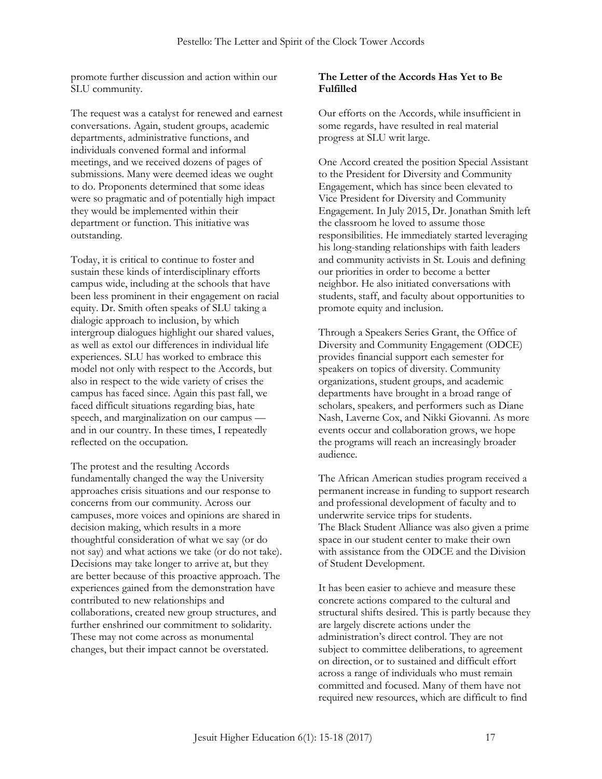promote further discussion and action within our SLU community.

The request was a catalyst for renewed and earnest conversations. Again, student groups, academic departments, administrative functions, and individuals convened formal and informal meetings, and we received dozens of pages of submissions. Many were deemed ideas we ought to do. Proponents determined that some ideas were so pragmatic and of potentially high impact they would be implemented within their department or function. This initiative was outstanding.

Today, it is critical to continue to foster and sustain these kinds of interdisciplinary efforts campus wide, including at the schools that have been less prominent in their engagement on racial equity. Dr. Smith often speaks of SLU taking a dialogic approach to inclusion, by which intergroup dialogues highlight our shared values, as well as extol our differences in individual life experiences. SLU has worked to embrace this model not only with respect to the Accords, but also in respect to the wide variety of crises the campus has faced since. Again this past fall, we faced difficult situations regarding bias, hate speech, and marginalization on our campus and in our country. In these times, I repeatedly reflected on the occupation.

The protest and the resulting Accords fundamentally changed the way the University approaches crisis situations and our response to concerns from our community. Across our campuses, more voices and opinions are shared in decision making, which results in a more thoughtful consideration of what we say (or do not say) and what actions we take (or do not take). Decisions may take longer to arrive at, but they are better because of this proactive approach. The experiences gained from the demonstration have contributed to new relationships and collaborations, created new group structures, and further enshrined our commitment to solidarity. These may not come across as monumental changes, but their impact cannot be overstated.

### **The Letter of the Accords Has Yet to Be Fulfilled**

Our efforts on the Accords, while insufficient in some regards, have resulted in real material progress at SLU writ large.

One Accord created the position Special Assistant to the President for Diversity and Community Engagement, which has since been elevated to Vice President for Diversity and Community Engagement. In July 2015, Dr. Jonathan Smith left the classroom he loved to assume those responsibilities. He immediately started leveraging his long-standing relationships with faith leaders and community activists in St. Louis and defining our priorities in order to become a better neighbor. He also initiated conversations with students, staff, and faculty about opportunities to promote equity and inclusion.

Through a Speakers Series Grant, the Office of Diversity and Community Engagement (ODCE) provides financial support each semester for speakers on topics of diversity. Community organizations, student groups, and academic departments have brought in a broad range of scholars, speakers, and performers such as Diane Nash, Laverne Cox, and Nikki Giovanni. As more events occur and collaboration grows, we hope the programs will reach an increasingly broader audience.

The African American studies program received a permanent increase in funding to support research and professional development of faculty and to underwrite service trips for students. The Black Student Alliance was also given a prime space in our student center to make their own with assistance from the ODCE and the Division of Student Development.

It has been easier to achieve and measure these concrete actions compared to the cultural and structural shifts desired. This is partly because they are largely discrete actions under the administration's direct control. They are not subject to committee deliberations, to agreement on direction, or to sustained and difficult effort across a range of individuals who must remain committed and focused. Many of them have not required new resources, which are difficult to find